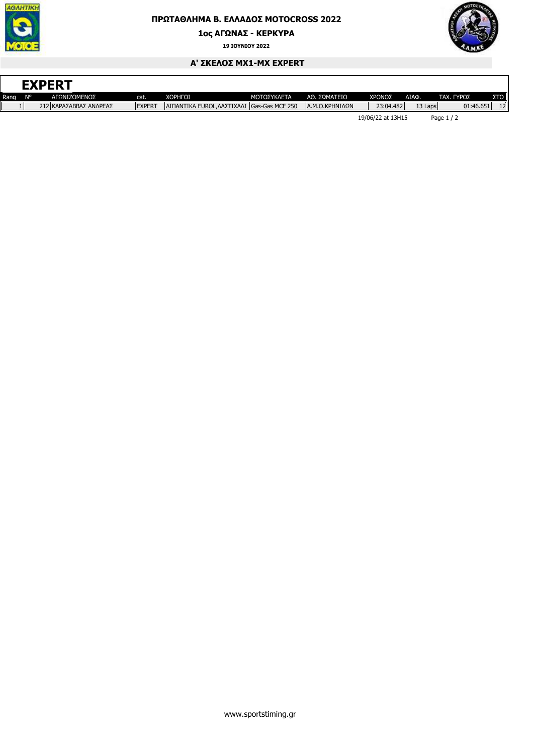

## **ΠΡΩΤΑΘΛΗΜΑ Β. ΕΛΛΑ∆ΟΣ MOTOCROSS 2022**

**1ος ΑΓΩΝΑΣ - ΚΕΡΚΥΡΑ**

**19 ΙΟΥΝΙΟΥ 2022**



٦

## **Α' ΣΚΕΛΟΣ ΜΧ1-MX EXPERT**

| <b>EXPERT</b> |    |                        |               |                                             |             |                 |  |           |               |                      |     |
|---------------|----|------------------------|---------------|---------------------------------------------|-------------|-----------------|--|-----------|---------------|----------------------|-----|
| Rang          | N° | ΑΓΩΝΙΖΟΜΕΝΟΣ           | cat.          | <b>XOPHFOI</b>                              | ΜΟΤΟΣΥΚΛΕΤΑ | ΑΘ. ΣΩΜΑΤΕΙΟ    |  | ΧΡΟΝΟΣ    | ΔΙΑΦ.         | TAX.<br><b>ΓΥΡΟΣ</b> | ΣTΟ |
|               |    | 212 ΚΑΡΑΣΑΒΒΑΣ ΑΝΔΡΕΑΣ | <b>EXPERT</b> | ΙΛΙΠΑΝΤΙΚΑ EUROL.ΛΑΣΤΙΧΑΔΙ IGas-Gas MCF 250 |             | ΙΑ.Μ.Ο.ΚΡΗΝΙΔΩΝ |  | 23:04.482 | 13 Laps       | 01:46.651            | 12  |
|               |    |                        |               |                                             |             |                 |  |           | $\sim$ $\sim$ | .                    |     |

19/06/22 at 13H15 Page 1 / 2